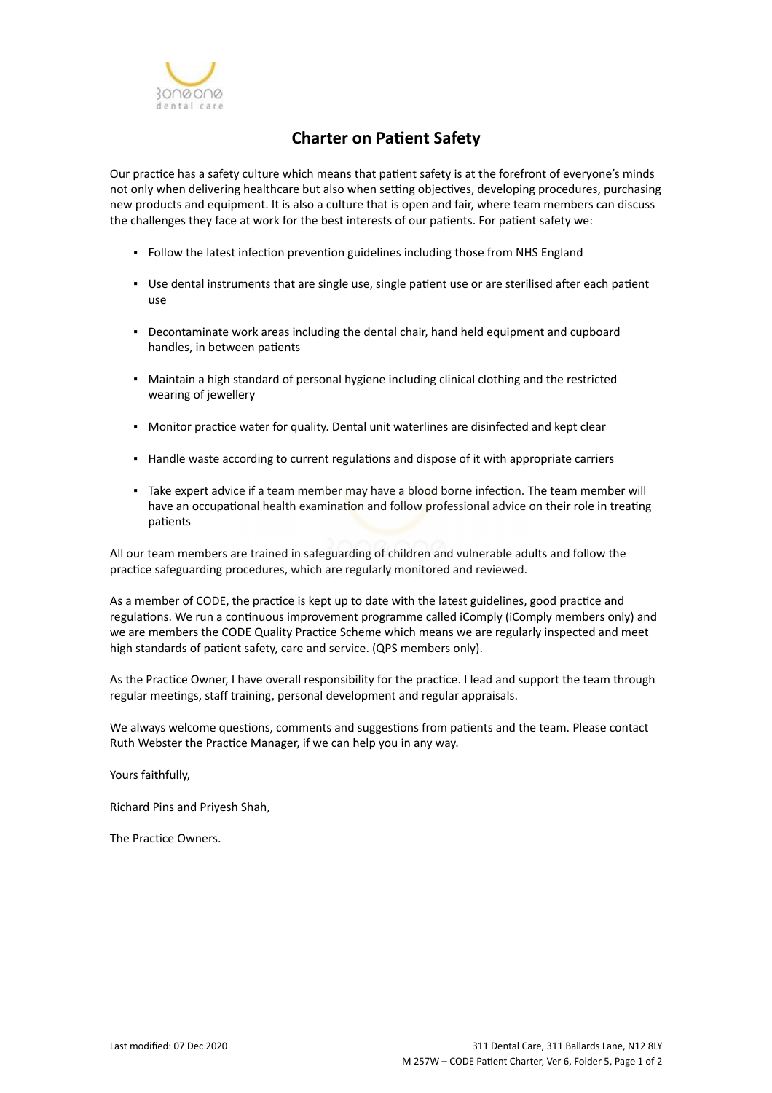

## **Charter on Patient Safety**

Our practice has a safety culture which means that patient safety is at the forefront of everyone's minds not only when delivering healthcare but also when setting objectives, developing procedures, purchasing new products and equipment. It is also a culture that is open and fair, where team members can discuss the challenges they face at work for the best interests of our patients. For patient safety we:

- Follow the latest infection prevention guidelines including those from NHS England
- Use dental instruments that are single use, single patient use or are sterilised after each patient use
- Decontaminate work areas including the dental chair, hand held equipment and cupboard handles, in between patients
- Maintain a high standard of personal hygiene including clinical clothing and the restricted wearing of jewellery
- Monitor practice water for quality. Dental unit waterlines are disinfected and kept clear
- Handle waste according to current regulations and dispose of it with appropriate carriers
- Take expert advice if a team member may have a blood borne infection. The team member will have an occupational health examination and follow professional advice on their role in treating patients

All our team members are trained in safeguarding of children and vulnerable adults and follow the practice safeguarding procedures, which are regularly monitored and reviewed.

As a member of CODE, the practice is kept up to date with the latest guidelines, good practice and regulations. We run a continuous improvement programme called iComply (iComply members only) and we are members the CODE Quality Practice Scheme which means we are regularly inspected and meet high standards of patient safety, care and service. (QPS members only).

As the Practice Owner, I have overall responsibility for the practice. I lead and support the team through regular meetings, staff training, personal development and regular appraisals.

We always welcome questions, comments and suggestions from patients and the team. Please contact Ruth Webster the Practice Manager, if we can help you in any way.

Yours faithfully,

Richard Pins and Priyesh Shah,

The Practice Owners.